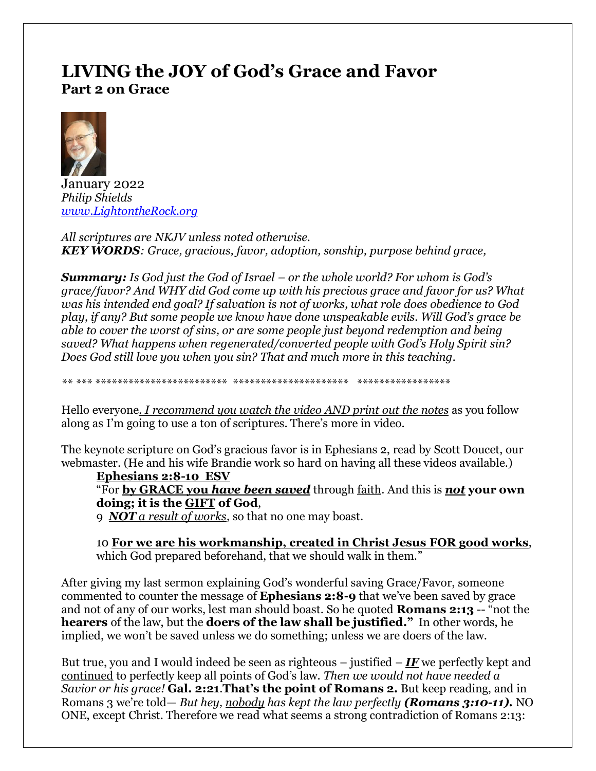# **LIVING the JOY of God's Grace and Favor Part 2 on Grace**



January 2022 *Philip Shields [www.LightontheRock.org](http://www.lightontherock.org/)*

*All scriptures are NKJV unless noted otherwise. KEY WORDS: Grace, gracious, favor, adoption, sonship, purpose behind grace,* 

*Summary: Is God just the God of Israel – or the whole world? For whom is God's grace/favor? And WHY did God come up with his precious grace and favor for us? What was his intended end goal? If salvation is not of works, what role does obedience to God play, if any? But some people we know have done unspeakable evils. Will God's grace be able to cover the worst of sins, or are some people just beyond redemption and being saved? What happens when regenerated/converted people with God's Holy Spirit sin? Does God still love you when you sin? That and much more in this teaching.* 

*\*\* \*\*\* \*\*\*\*\*\*\*\*\*\*\*\*\*\*\*\*\*\*\*\*\*\*\*\* \*\*\*\*\*\*\*\*\*\*\*\*\*\*\*\*\*\*\*\*\* \*\*\*\*\*\*\*\*\*\*\*\*\*\*\*\*\**

Hello everyone*. I recommend you watch the video AND print out the notes* as you follow along as I'm going to use a ton of scriptures. There's more in video.

The keynote scripture on God's gracious favor is in Ephesians 2, read by Scott Doucet, our webmaster. (He and his wife Brandie work so hard on having all these videos available.)

#### **Ephesians 2:8-10 ESV**

"For **by GRACE you** *have been saved* through faith. And this is *not* **your own doing; it is the GIFT of God**,

9 *NOT a result of works*, so that no one may boast.

10 **For we are his workmanship, created in Christ Jesus FOR good works**, which God prepared beforehand, that we should walk in them."

After giving my last sermon explaining God's wonderful saving Grace/Favor, someone commented to counter the message of **Ephesians 2:8-9** that we've been saved by grace and not of any of our works, lest man should boast. So he quoted **Romans 2:13** -- "not the **hearers** of the law, but the **doers of the law shall be justified."** In other words, he implied, we won't be saved unless we do something; unless we are doers of the law.

But true, you and I would indeed be seen as righteous – justified – *IF* we perfectly kept and continued to perfectly keep all points of God's law. *Then we would not have needed a Savior or his grace!* **Gal. 2:21**.**That's the point of Romans 2.** But keep reading, and in Romans 3 we're told— *But hey, nobody has kept the law perfectly (Romans 3:10-11).* NO ONE, except Christ. Therefore we read what seems a strong contradiction of Romans 2:13: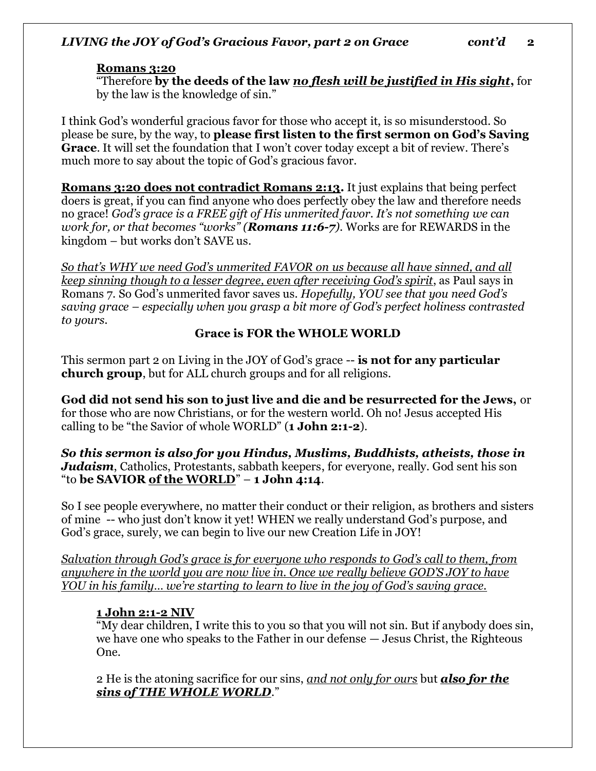#### **Romans 3:20**

"Therefore **by the deeds of the law** *no flesh will be justified in His sight***,** for by the law is the knowledge of sin."

I think God's wonderful gracious favor for those who accept it, is so misunderstood. So please be sure, by the way, to **please first listen to the first sermon on God's Saving Grace**. It will set the foundation that I won't cover today except a bit of review. There's much more to say about the topic of God's gracious favor.

**Romans 3:20 does not contradict Romans 2:13.** It just explains that being perfect doers is great, if you can find anyone who does perfectly obey the law and therefore needs no grace! *God's grace is a FREE gift of His unmerited favor. It's not something we can work for, or that becomes "works" (Romans 11:6-7).* Works are for REWARDS in the kingdom – but works don't SAVE us.

*So that's WHY we need God's unmerited FAVOR on us because all have sinned, and all keep sinning though to a lesser degree, even after receiving God's spirit*, as Paul says in Romans 7. So God's unmerited favor saves us. *Hopefully, YOU see that you need God's saving grace – especially when you grasp a bit more of God's perfect holiness contrasted to yours.* 

# **Grace is FOR the WHOLE WORLD**

This sermon part 2 on Living in the JOY of God's grace -- **is not for any particular church group**, but for ALL church groups and for all religions.

**God did not send his son to just live and die and be resurrected for the Jews,** or for those who are now Christians, or for the western world. Oh no! Jesus accepted His calling to be "the Savior of whole WORLD" (**1 John 2:1-2**).

*So this sermon is also for you Hindus, Muslims, Buddhists, atheists, those in Judaism*, Catholics, Protestants, sabbath keepers, for everyone, really. God sent his son "to **be SAVIOR of the WORLD**" – **1 John 4:14**.

So I see people everywhere, no matter their conduct or their religion, as brothers and sisters of mine -- who just don't know it yet! WHEN we really understand God's purpose, and God's grace, surely, we can begin to live our new Creation Life in JOY!

*Salvation through God's grace is for everyone who responds to God's call to them, from anywhere in the world you are now live in. Once we really believe GOD'S JOY to have YOU in his family… we're starting to learn to live in the joy of God's saving grace.* 

# **1 John 2:1-2 NIV**

"My dear children, I write this to you so that you will not sin. But if anybody does sin, we have one who speaks to the Father in our defense — Jesus Christ, the Righteous One.

2 He is the atoning sacrifice for our sins, *and not only for ours* but *also for the sins of THE WHOLE WORLD*."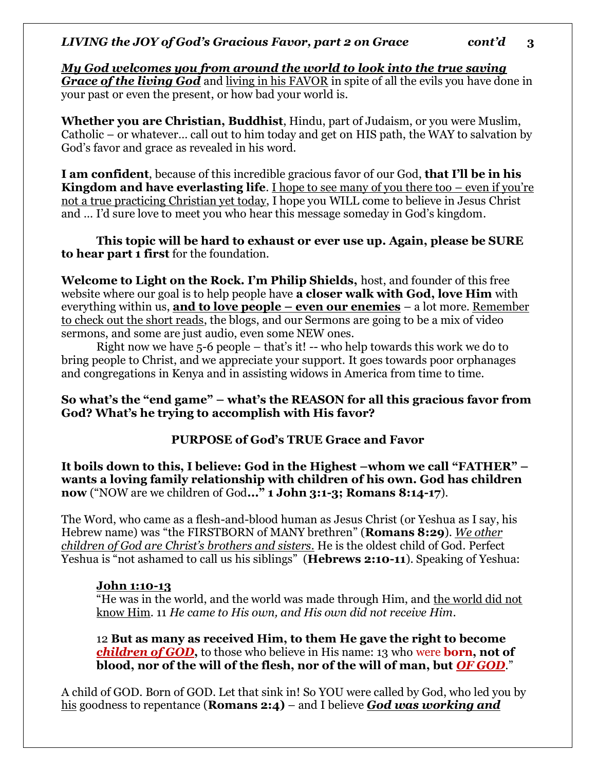*My God welcomes you from around the world to look into the true saving Grace of the living God* and living in his FAVOR in spite of all the evils you have done in your past or even the present, or how bad your world is.

**Whether you are Christian, Buddhist**, Hindu, part of Judaism, or you were Muslim, Catholic – or whatever… call out to him today and get on HIS path, the WAY to salvation by God's favor and grace as revealed in his word.

**I am confident**, because of this incredible gracious favor of our God, **that I'll be in his Kingdom and have everlasting life**. I hope to see many of you there too – even if you're not a true practicing Christian yet today, I hope you WILL come to believe in Jesus Christ and … I'd sure love to meet you who hear this message someday in God's kingdom.

**This topic will be hard to exhaust or ever use up. Again, please be SURE to hear part 1 first** for the foundation.

**Welcome to Light on the Rock. I'm Philip Shields,** host, and founder of this free website where our goal is to help people have **a closer walk with God, love Him** with everything within us, **and to love people – even our enemies** – a lot more. Remember to check out the short reads, the blogs, and our Sermons are going to be a mix of video sermons, and some are just audio, even some NEW ones.

Right now we have 5-6 people – that's it! -- who help towards this work we do to bring people to Christ, and we appreciate your support. It goes towards poor orphanages and congregations in Kenya and in assisting widows in America from time to time.

#### **So what's the "end game" – what's the REASON for all this gracious favor from God? What's he trying to accomplish with His favor?**

# **PURPOSE of God's TRUE Grace and Favor**

**It boils down to this, I believe: God in the Highest –whom we call "FATHER" – wants a loving family relationship with children of his own. God has children now** ("NOW are we children of God**..." 1 John 3:1-3; Romans 8:14-17**).

The Word, who came as a flesh-and-blood human as Jesus Christ (or Yeshua as I say, his Hebrew name) was "the FIRSTBORN of MANY brethren" (**Romans 8:29**). *We other children of God are Christ's brothers and sisters.* He is the oldest child of God. Perfect Yeshua is "not ashamed to call us his siblings" (**Hebrews 2:10-11**). Speaking of Yeshua:

#### **John 1:10-13**

"He was in the world, and the world was made through Him, and the world did not know Him. 11 *He came to His own, and His own did not receive Him*.

12 **But as many as received Him, to them He gave the right to become**  *children of GOD***,** to those who believe in His name: 13 who were **born, not of blood, nor of the will of the flesh, nor of the will of man, but** *OF GOD*."

A child of GOD. Born of GOD. Let that sink in! So YOU were called by God, who led you by his goodness to repentance (**Romans 2:4)** – and I believe *God was working and*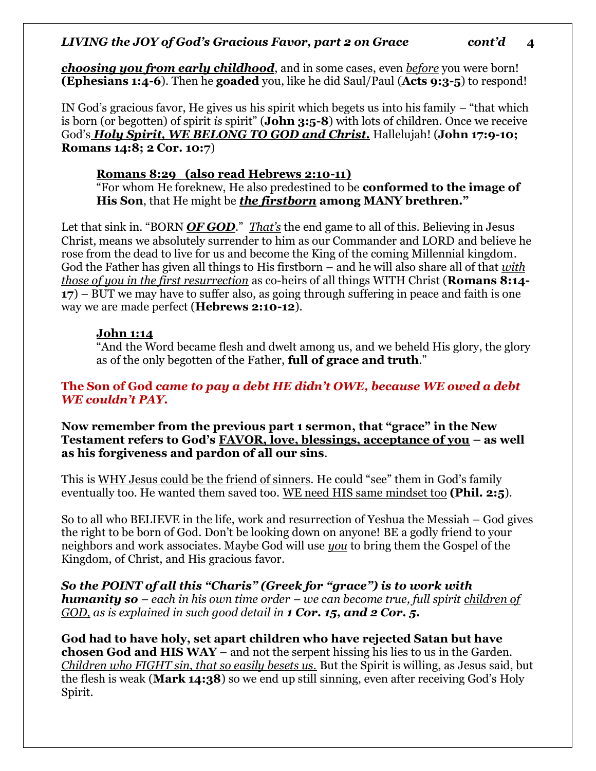*choosing you from early childhood*, and in some cases, even *before* you were born! **(Ephesians 1:4-6**). Then he **goaded** you, like he did Saul/Paul (**Acts 9:3-5**) to respond!

IN God's gracious favor, He gives us his spirit which begets us into his family – "that which is born (or begotten) of spirit *is* spirit" (**John 3:5-8**) with lots of children. Once we receive God's *Holy Spirit, WE BELONG TO GOD and Christ.* Hallelujah! (**John 17:9-10; Romans 14:8; 2 Cor. 10:7**)

# **Romans 8:29 (also read Hebrews 2:10-11)**

"For whom He foreknew, He also predestined to be **conformed to the image of His Son**, that He might be *the firstborn* **among MANY brethren."** 

Let that sink in. "BORN **OF GOD**." *That's* the end game to all of this. Believing in Jesus Christ, means we absolutely surrender to him as our Commander and LORD and believe he rose from the dead to live for us and become the King of the coming Millennial kingdom. God the Father has given all things to His firstborn – and he will also share all of that *with those of you in the first resurrection* as co-heirs of all things WITH Christ (**Romans 8:14- 17**) – BUT we may have to suffer also, as going through suffering in peace and faith is one way we are made perfect (**Hebrews 2:10-12**).

# **John 1:14**

"And the Word became flesh and dwelt among us, and we beheld His glory, the glory as of the only begotten of the Father, **full of grace and truth**."

# **The Son of God** *came to pay a debt HE didn't OWE, because WE owed a debt WE couldn't PAY.*

**Now remember from the previous part 1 sermon, that "grace" in the New Testament refers to God's FAVOR, love, blessings, acceptance of you – as well as his forgiveness and pardon of all our sins**.

This is WHY Jesus could be the friend of sinners. He could "see" them in God's family eventually too. He wanted them saved too. WE need HIS same mindset too **(Phil. 2:5**).

So to all who BELIEVE in the life, work and resurrection of Yeshua the Messiah – God gives the right to be born of God. Don't be looking down on anyone! BE a godly friend to your neighbors and work associates. Maybe God will use *you* to bring them the Gospel of the Kingdom, of Christ, and His gracious favor.

*So the POINT of all this "Charis" (Greek for "grace") is to work with humanity so – each in his own time order – we can become true, full spirit children of GOD, as is explained in such good detail in 1 Cor. 15, and 2 Cor. 5.*

**God had to have holy, set apart children who have rejected Satan but have chosen God and HIS WAY** – and not the serpent hissing his lies to us in the Garden. *Children who FIGHT sin, that so easily besets us.* But the Spirit is willing, as Jesus said, but the flesh is weak (**Mark 14:38**) so we end up still sinning, even after receiving God's Holy Spirit.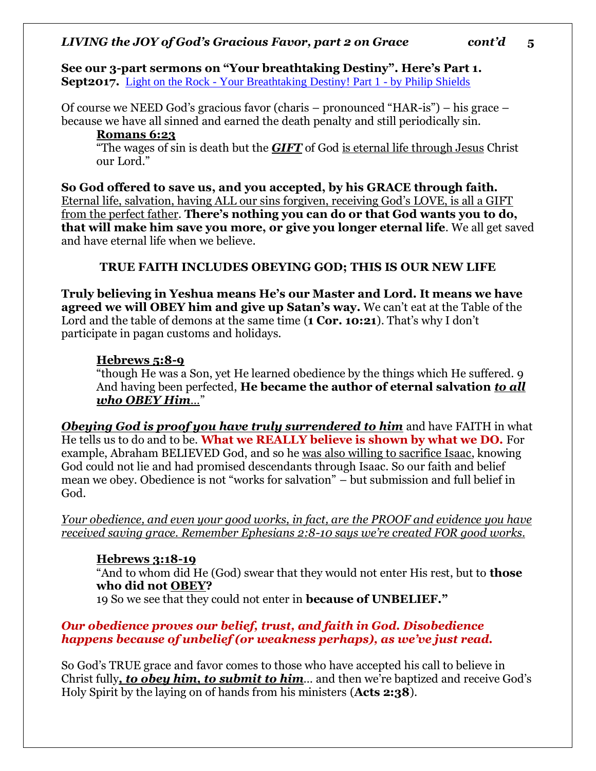**See our 3-part sermons on "Your breathtaking Destiny". Here's Part 1. Sept2017.** Light on the Rock - [Your Breathtaking Destiny! Part 1 -](http://www.lightontherock.org/videos/message/your-breathtaking-destiny-part-1.html?highlight=WyJicmVhdGh0YWtpbmciXQ==) by Philip Shields

Of course we NEED God's gracious favor (charis – pronounced "HAR-is") – his grace – because we have all sinned and earned the death penalty and still periodically sin.

#### **Romans 6:23**

"The wages of sin is death but the *GIFT* of God is eternal life through Jesus Christ our Lord."

**So God offered to save us, and you accepted, by his GRACE through faith.** Eternal life, salvation, having ALL our sins forgiven, receiving God's LOVE, is all a GIFT from the perfect father. **There's nothing you can do or that God wants you to do, that will make him save you more, or give you longer eternal life**. We all get saved and have eternal life when we believe.

# **TRUE FAITH INCLUDES OBEYING GOD; THIS IS OUR NEW LIFE**

**Truly believing in Yeshua means He's our Master and Lord. It means we have agreed we will OBEY him and give up Satan's way.** We can't eat at the Table of the Lord and the table of demons at the same time (**1 Cor. 10:21**). That's why I don't participate in pagan customs and holidays.

# **Hebrews 5:8-9**

"though He was a Son, yet He learned obedience by the things which He suffered. 9 And having been perfected, **He became the author of eternal salvation** *to all who OBEY Him…*"

*Obeying God is proof you have truly surrendered to him* and have FAITH in what He tells us to do and to be. **What we REALLY believe is shown by what we DO.** For example, Abraham BELIEVED God, and so he was also willing to sacrifice Isaac, knowing God could not lie and had promised descendants through Isaac. So our faith and belief mean we obey. Obedience is not "works for salvation" – but submission and full belief in God.

*Your obedience, and even your good works, in fact, are the PROOF and evidence you have received saving grace. Remember Ephesians 2:8-10 says we're created FOR good works.* 

# **Hebrews 3:18-19**

"And to whom did He (God) swear that they would not enter His rest, but to **those who did not OBEY?**

19 So we see that they could not enter in **because of UNBELIEF."**

# *Our obedience proves our belief, trust, and faith in God. Disobedience happens because of unbelief (or weakness perhaps), as we've just read.*

So God's TRUE grace and favor comes to those who have accepted his call to believe in Christ fully*, to obey him, to submit to him*… and then we're baptized and receive God's Holy Spirit by the laying on of hands from his ministers (**Acts 2:38**).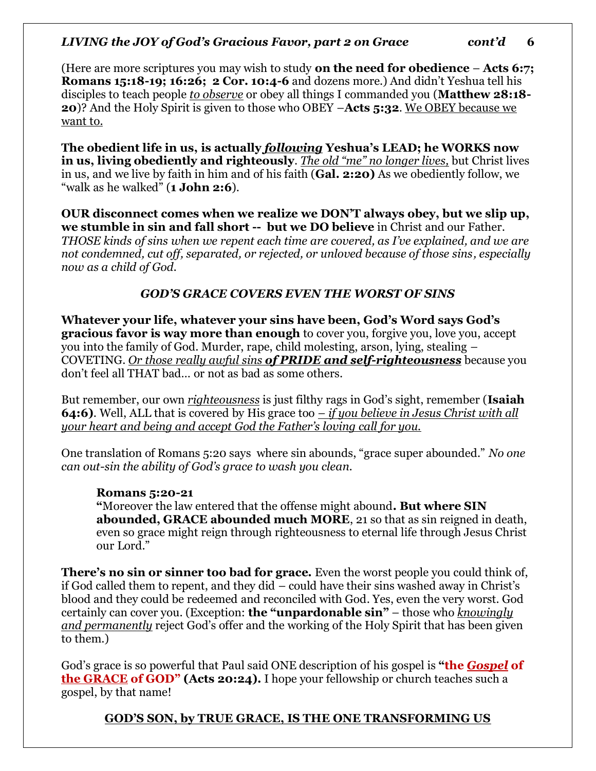(Here are more scriptures you may wish to study **on the need for obedience** – **Acts 6:7; Romans 15:18-19; 16:26; 2 Cor. 10:4-6** and dozens more.) And didn't Yeshua tell his disciples to teach people *to observe* or obey all things I commanded you (**Matthew 28:18- 20**)? And the Holy Spirit is given to those who OBEY –**Acts 5:32**. We OBEY because we want to.

**The obedient life in us, is actually** *following* **Yeshua's LEAD; he WORKS now in us, living obediently and righteously**. *The old "me" no longer lives,* but Christ lives in us, and we live by faith in him and of his faith (**Gal. 2:20)** As we obediently follow, we "walk as he walked" (**1 John 2:6**).

**OUR disconnect comes when we realize we DON'T always obey, but we slip up, we stumble in sin and fall short -- but we DO believe** in Christ and our Father*. THOSE kinds of sins when we repent each time are covered, as I've explained, and we are not condemned, cut off, separated, or rejected, or unloved because of those sins, especially now as a child of God.* 

# *GOD'S GRACE COVERS EVEN THE WORST OF SINS*

**Whatever your life, whatever your sins have been, God's Word says God's gracious favor is way more than enough** to cover you, forgive you, love you, accept you into the family of God. Murder, rape, child molesting, arson, lying, stealing – COVETING. *Or those really awful sins of PRIDE and self-righteousness* because you don't feel all THAT bad… or not as bad as some others.

But remember, our own *righteousness* is just filthy rags in God's sight, remember (**Isaiah 64:6)**. Well, ALL that is covered by His grace too *– if you believe in Jesus Christ with all your heart and being and accept God the Father's loving call for you.* 

One translation of Romans 5:20 says where sin abounds, "grace super abounded." *No one can out-sin the ability of God's grace to wash you clean.*

#### **Romans 5:20-21**

**"**Moreover the law entered that the offense might abound**. But where SIN abounded, GRACE abounded much MORE**, 21 so that as sin reigned in death, even so grace might reign through righteousness to eternal life through Jesus Christ our Lord."

**There's no sin or sinner too bad for grace.** Even the worst people you could think of, if God called them to repent, and they did – could have their sins washed away in Christ's blood and they could be redeemed and reconciled with God. Yes, even the very worst. God certainly can cover you. (Exception: **the "unpardonable sin"** – those who *knowingly and permanently* reject God's offer and the working of the Holy Spirit that has been given to them.)

God's grace is so powerful that Paul said ONE description of his gospel is **"the** *Gospel* **of the GRACE of GOD" (Acts 20:24).** I hope your fellowship or church teaches such a gospel, by that name!

# **GOD'S SON, by TRUE GRACE, IS THE ONE TRANSFORMING US**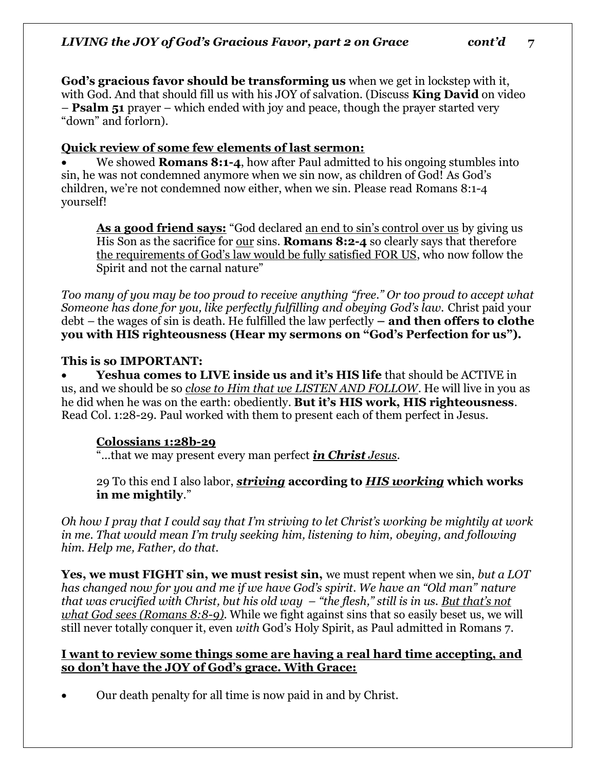**God's gracious favor should be transforming us** when we get in lockstep with it, with God. And that should fill us with his JOY of salvation. (Discuss **King David** on video – **Psalm 51** prayer – which ended with joy and peace, though the prayer started very "down" and forlorn).

# **Quick review of some few elements of last sermon:**

• We showed **Romans 8:1-4**, how after Paul admitted to his ongoing stumbles into sin, he was not condemned anymore when we sin now, as children of God! As God's children, we're not condemned now either, when we sin. Please read Romans 8:1-4 yourself!

**As a good friend says:** "God declared an end to sin's control over us by giving us His Son as the sacrifice for our sins. **Romans 8:2-4** so clearly says that therefore the requirements of God's law would be fully satisfied FOR US, who now follow the Spirit and not the carnal nature"

*Too many of you may be too proud to receive anything "free." Or too proud to accept what Someone has done for you, like perfectly fulfilling and obeying God's law. Christ paid your* debt – the wages of sin is death. He fulfilled the law perfectly **– and then offers to clothe you with HIS righteousness (Hear my sermons on "God's Perfection for us").**

#### **This is so IMPORTANT:**

• **Yeshua comes to LIVE inside us and it's HIS life** that should be ACTIVE in us, and we should be so *close to Him that we LISTEN AND FOLLOW*. He will live in you as he did when he was on the earth: obediently. **But it's HIS work, HIS righteousness**. Read Col. 1:28-29. Paul worked with them to present each of them perfect in Jesus.

# **Colossians 1:28b-29**

"…that we may present every man perfect *in Christ Jesus*.

29 To this end I also labor, *striving* **according to** *HIS working* **which works in me mightily**."

*Oh how I pray that I could say that I'm striving to let Christ's working be mightily at work in me. That would mean I'm truly seeking him, listening to him, obeying, and following him. Help me, Father, do that.* 

**Yes, we must FIGHT sin, we must resist sin,** we must repent when we sin, *but a LOT has changed now for you and me if we have God's spirit. We have an "Old man" nature that was crucified with Christ, but his old way – "the flesh," still is in us. But that's not what God sees (Romans 8:8-9).* While we fight against sins that so easily beset us, we will still never totally conquer it, even *with* God's Holy Spirit, as Paul admitted in Romans 7.

#### **I want to review some things some are having a real hard time accepting, and so don't have the JOY of God's grace. With Grace:**

• Our death penalty for all time is now paid in and by Christ.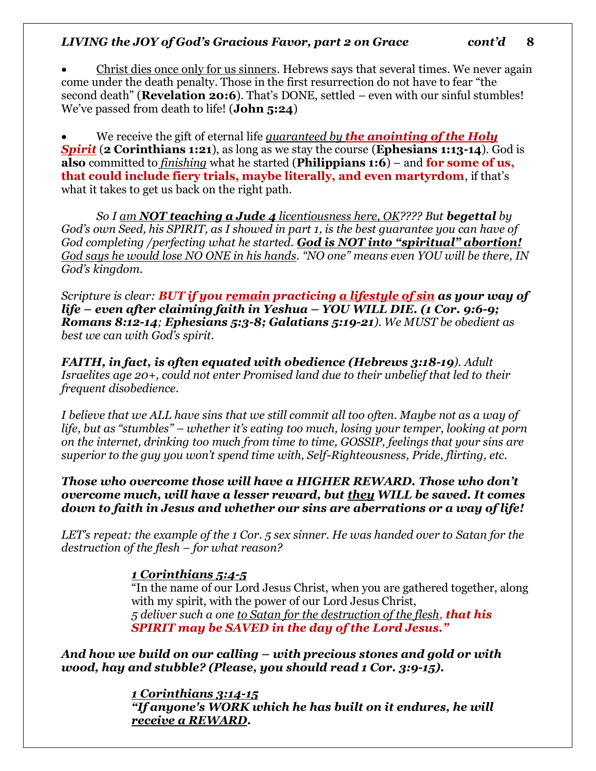• Christ dies once only for us sinners. Hebrews says that several times. We never again come under the death penalty. Those in the first resurrection do not have to fear "the second death" (**Revelation 20:6**). That's DONE, settled – even with our sinful stumbles! We've passed from death to life! (**John 5:24**)

• We receive the gift of eternal life *guaranteed by the anointing of the Holy Spirit* (**2 Corinthians 1:21**), as long as we stay the course (**Ephesians 1:13-14**). God is **also** committed to *finishing* what he started (**Philippians 1:6**) – and **for some of us, that could include fiery trials, maybe literally, and even martyrdom**, if that's what it takes to get us back on the right path.

*So I am NOT teaching a Jude 4 licentiousness here, OK???? But begettal by God's own Seed, his SPIRIT, as I showed in part 1, is the best guarantee you can have of God completing /perfecting what he started. God is NOT into "spiritual" abortion! God says he would lose NO ONE in his hands. "NO one" means even YOU will be there, IN God's kingdom.* 

*Scripture is clear: BUT if you remain practicing a lifestyle of sin as your way of life – even after claiming faith in Yeshua – YOU WILL DIE. (1 Cor. 9:6-9; Romans 8:12-14; Ephesians 5:3-8; Galatians 5:19-21). We MUST be obedient as best we can with God's spirit.* 

*FAITH, in fact, is often equated with obedience (Hebrews 3:18-19). Adult Israelites age 20+, could not enter Promised land due to their unbelief that led to their frequent disobedience.* 

*I believe that we ALL have sins that we still commit all too often. Maybe not as a way of life, but as "stumbles" – whether it's eating too much, losing your temper, looking at porn on the internet, drinking too much from time to time, GOSSIP, feelings that your sins are superior to the guy you won't spend time with, Self-Righteousness, Pride, flirting, etc.*

*Those who overcome those will have a HIGHER REWARD. Those who don't overcome much, will have a lesser reward, but they WILL be saved. It comes down to faith in Jesus and whether our sins are aberrations or a way of life!*

*LET's repeat: the example of the 1 Cor. 5 sex sinner. He was handed over to Satan for the destruction of the flesh – for what reason?* 

#### *1 Corinthians 5:4-5*

"In the name of our Lord Jesus Christ, when you are gathered together, along with my spirit, with the power of our Lord Jesus Christ, *5 deliver such a one to Satan for the destruction of the flesh, that his SPIRIT may be SAVED in the day of the Lord Jesus."*

*And how we build on our calling – with precious stones and gold or with wood, hay and stubble? (Please, you should read 1 Cor. 3:9-15).*

> *1 Corinthians 3:14-15 "If anyone's WORK which he has built on it endures, he will receive a REWARD.*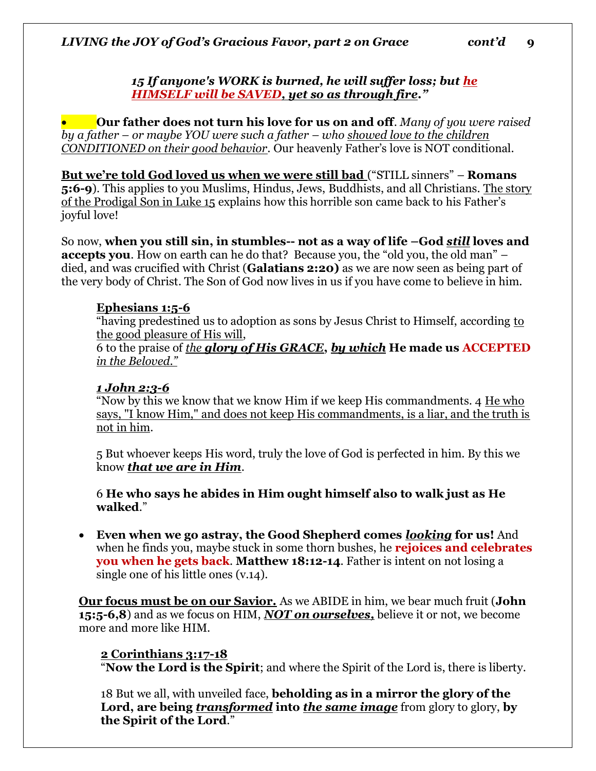#### *15 If anyone's WORK is burned, he will suffer loss; but he HIMSELF will be SAVED, yet so as through fire."*

• **Our father does not turn his love for us on and off**. *Many of you were raised by a father – or maybe YOU were such a father – who showed love to the children CONDITIONED on their good behavior.* Our heavenly Father's love is NOT conditional.

**But we're told God loved us when we were still bad** ("STILL sinners" – **Romans 5:6-9**). This applies to you Muslims, Hindus, Jews, Buddhists, and all Christians. The story of the Prodigal Son in Luke 15 explains how this horrible son came back to his Father's joyful love!

So now, **when you still sin, in stumbles-- not as a way of life –God** *still* **loves and accepts you**. How on earth can he do that? Because you, the "old you, the old man" – died, and was crucified with Christ (**Galatians 2:20)** as we are now seen as being part of the very body of Christ. The Son of God now lives in us if you have come to believe in him.

#### **Ephesians 1:5-6**

"having predestined us to adoption as sons by Jesus Christ to Himself, according to the good pleasure of His will,

6 to the praise of *the glory of His GRACE***,** *by which* **He made us ACCEPTED** *in the Beloved."*

#### *1 John 2:3-6*

"Now by this we know that we know Him if we keep His commandments. 4 He who says, "I know Him," and does not keep His commandments, is a liar, and the truth is not in him.

5 But whoever keeps His word, truly the love of God is perfected in him. By this we know *that we are in Him*.

6 **He who says he abides in Him ought himself also to walk just as He walked**."

• **Even when we go astray, the Good Shepherd comes** *looking* **for us!** And when he finds you, maybe stuck in some thorn bushes, he **rejoices and celebrates you when he gets back**. **Matthew 18:12-14**. Father is intent on not losing a single one of his little ones (v.14).

**Our focus must be on our Savior.** As we ABIDE in him, we bear much fruit (**John 15:5-6,8**) and as we focus on HIM, *NOT on ourselves,* believe it or not, we become more and more like HIM.

#### **2 Corinthians 3:17-18**

"**Now the Lord is the Spirit**; and where the Spirit of the Lord is, there is liberty.

18 But we all, with unveiled face, **beholding as in a mirror the glory of the Lord, are being** *transformed* **into** *the same image* from glory to glory, **by the Spirit of the Lord**."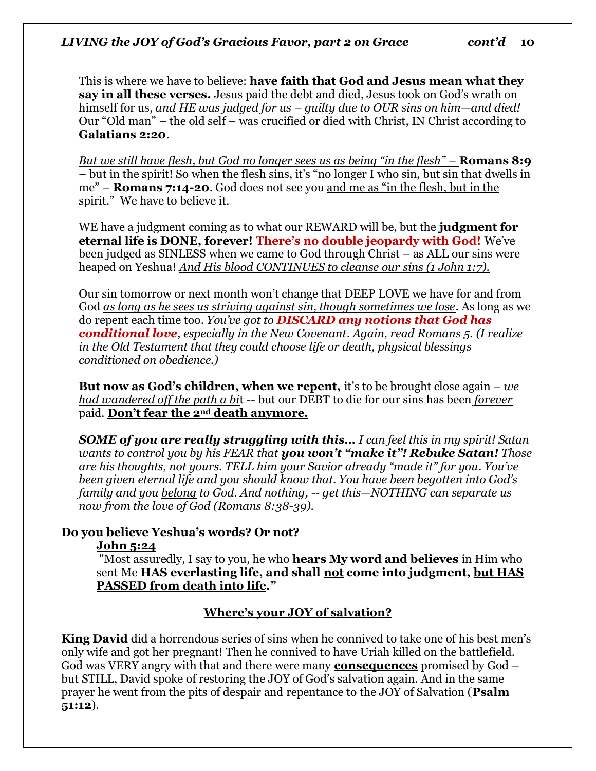This is where we have to believe: **have faith that God and Jesus mean what they say in all these verses.** Jesus paid the debt and died, Jesus took on God's wrath on himself for us*, and HE was judged for us – guilty due to OUR sins on him—and died!* Our "Old man" – the old self – was crucified or died with Christ, IN Christ according to **Galatians 2:20**.

*But we still have flesh, but God no longer sees us as being "in the flesh" –* **Romans 8:9** – but in the spirit! So when the flesh sins, it's "no longer I who sin, but sin that dwells in me" – **Romans 7:14-20**. God does not see you and me as "in the flesh, but in the spirit." We have to believe it.

WE have a judgment coming as to what our REWARD will be, but the **judgment for eternal life is DONE, forever! There's no double jeopardy with God!** We've been judged as SINLESS when we came to God through Christ – as ALL our sins were heaped on Yeshua! *And His blood CONTINUES to cleanse our sins (1 John 1:7).* 

Our sin tomorrow or next month won't change that DEEP LOVE we have for and from God *as long as he sees us striving against sin, though sometimes we lose*. As long as we do repent each time too. *You've got to DISCARD any notions that God has conditional love, especially in the New Covenant. Again, read Romans 5. (I realize in the Old Testament that they could choose life or death, physical blessings conditioned on obedience.)* 

**But now as God's children, when we repent,** it's to be brought close again – *we had wandered off the path a bi*t -- but our DEBT to die for our sins has been *forever* paid. **Don't fear the 2nd death anymore.**

*SOME of you are really struggling with this… I can feel this in my spirit! Satan wants to control you by his FEAR that you won't "make it"! Rebuke Satan! Those are his thoughts, not yours. TELL him your Savior already "made it" for you. You've been given eternal life and you should know that. You have been begotten into God's family and you belong to God. And nothing, -- get this—NOTHING can separate us now from the love of God (Romans 8:38-39).* 

# **Do you believe Yeshua's words? Or not?**

#### **John 5:24**

"Most assuredly, I say to you, he who **hears My word and believes** in Him who sent Me **HAS everlasting life, and shall not come into judgment, but HAS PASSED from death into life."** 

#### **Where's your JOY of salvation?**

**King David** did a horrendous series of sins when he connived to take one of his best men's only wife and got her pregnant! Then he connived to have Uriah killed on the battlefield. God was VERY angry with that and there were many **consequences** promised by God – but STILL, David spoke of restoring the JOY of God's salvation again. And in the same prayer he went from the pits of despair and repentance to the JOY of Salvation (**Psalm 51:12**).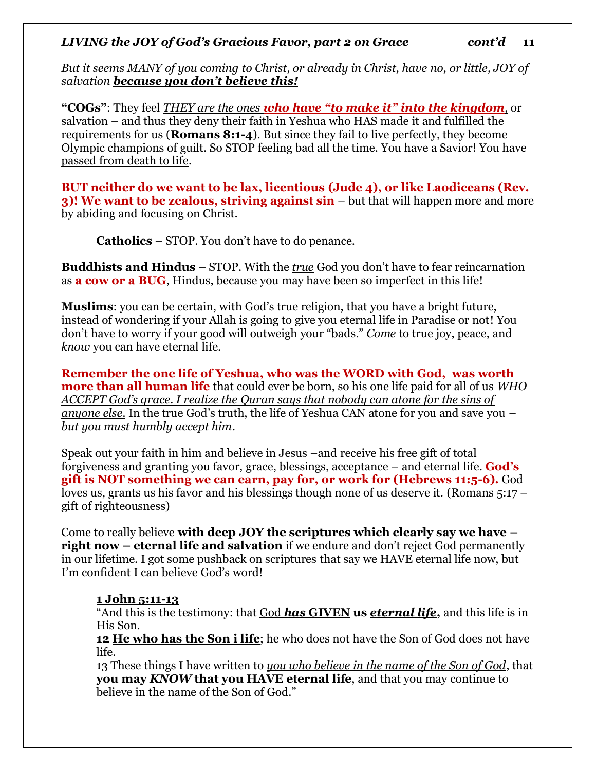*But it seems MANY of you coming to Christ, or already in Christ, have no, or little, JOY of salvation because you don't believe this!*

**"COGs"**: They feel *THEY are the ones who have "to make it" into the kingdom,* or salvation – and thus they deny their faith in Yeshua who HAS made it and fulfilled the requirements for us (**Romans 8:1-4**). But since they fail to live perfectly, they become Olympic champions of guilt. So STOP feeling bad all the time. You have a Savior! You have passed from death to life.

**BUT neither do we want to be lax, licentious (Jude 4), or like Laodiceans (Rev. 3)! We want to be zealous, striving against sin** – but that will happen more and more by abiding and focusing on Christ.

**Catholics** – STOP. You don't have to do penance.

**Buddhists and Hindus** – STOP. With the *true* God you don't have to fear reincarnation as **a cow or a BUG**, Hindus, because you may have been so imperfect in this life!

**Muslims**: you can be certain, with God's true religion, that you have a bright future, instead of wondering if your Allah is going to give you eternal life in Paradise or not! You don't have to worry if your good will outweigh your "bads." *Come* to true joy, peace, and *know* you can have eternal life.

**Remember the one life of Yeshua, who was the WORD with God, was worth more than all human life** that could ever be born, so his one life paid for all of us *WHO ACCEPT God's grace. I realize the Quran says that nobody can atone for the sins of anyone else.* In the true God's truth, the life of Yeshua CAN atone for you and save you – *but you must humbly accept him*.

Speak out your faith in him and believe in Jesus –and receive his free gift of total forgiveness and granting you favor, grace, blessings, acceptance – and eternal life. **God's gift is NOT something we can earn, pay for, or work for (Hebrews 11:5-6).** God loves us, grants us his favor and his blessings though none of us deserve it. (Romans 5:17 – gift of righteousness)

Come to really believe **with deep JOY the scriptures which clearly say we have – right now – eternal life and salvation** if we endure and don't reject God permanently in our lifetime. I got some pushback on scriptures that say we HAVE eternal life now, but I'm confident I can believe God's word!

#### **1 John 5:11-13**

"And this is the testimony: that God *has* **GIVEN us** *eternal life***,** and this life is in His Son.

**12 He who has the Son i life**; he who does not have the Son of God does not have life.

13 These things I have written to *you who believe in the name of the Son of God*, that **you may** *KNOW* **that you HAVE eternal life**, and that you may continue to believe in the name of the Son of God."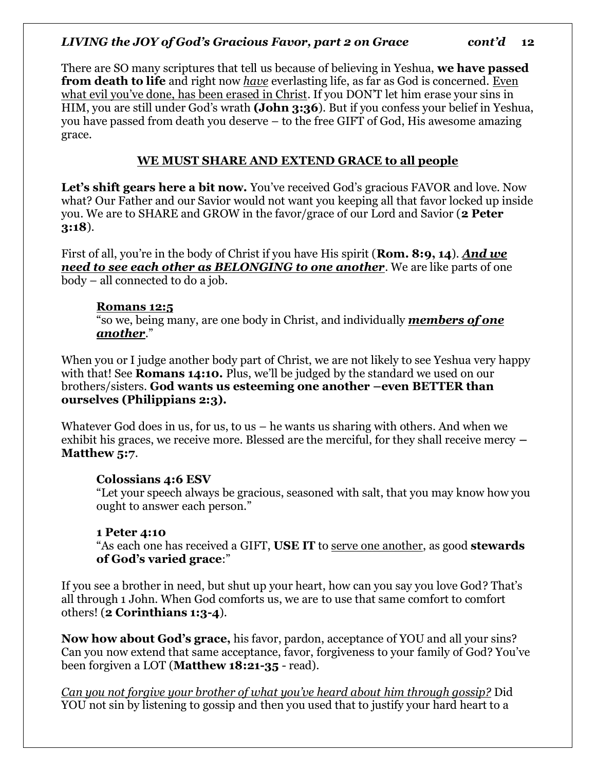There are SO many scriptures that tell us because of believing in Yeshua, **we have passed from death to life** and right now *have* everlasting life, as far as God is concerned. Even what evil you've done, has been erased in Christ. If you DON'T let him erase your sins in HIM, you are still under God's wrath **(John 3:36**). But if you confess your belief in Yeshua, you have passed from death you deserve – to the free GIFT of God, His awesome amazing grace.

# **WE MUST SHARE AND EXTEND GRACE to all people**

Let's shift gears here a bit now. You've received God's gracious FAVOR and love. Now what? Our Father and our Savior would not want you keeping all that favor locked up inside you. We are to SHARE and GROW in the favor/grace of our Lord and Savior (**2 Peter 3:18**).

First of all, you're in the body of Christ if you have His spirit (**Rom. 8:9, 14**). *And we need to see each other as BELONGING to one another*. We are like parts of one body – all connected to do a job.

#### **Romans 12:5**

"so we, being many, are one body in Christ, and individually *members of one another*."

When you or I judge another body part of Christ, we are not likely to see Yeshua very happy with that! See **Romans 14:10.** Plus, we'll be judged by the standard we used on our brothers/sisters. **God wants us esteeming one another –even BETTER than ourselves (Philippians 2:3).**

Whatever God does in us, for us, to us – he wants us sharing with others. And when we exhibit his graces, we receive more. Blessed are the merciful, for they shall receive mercy **– Matthew 5:7**.

#### **Colossians 4:6 ESV**

"Let your speech always be gracious, seasoned with salt, that you may know how you ought to answer each person."

#### **1 Peter 4:10**

"As each one has received a GIFT, **USE IT** to serve one another, as good **stewards of God's varied grace**:"

If you see a brother in need, but shut up your heart, how can you say you love God? That's all through 1 John. When God comforts us, we are to use that same comfort to comfort others! (**2 Corinthians 1:3-4**).

**Now how about God's grace,** his favor, pardon, acceptance of YOU and all your sins? Can you now extend that same acceptance, favor, forgiveness to your family of God? You've been forgiven a LOT (**Matthew 18:21-35** - read).

*Can you not forgive your brother of what you've heard about him through gossip?* Did YOU not sin by listening to gossip and then you used that to justify your hard heart to a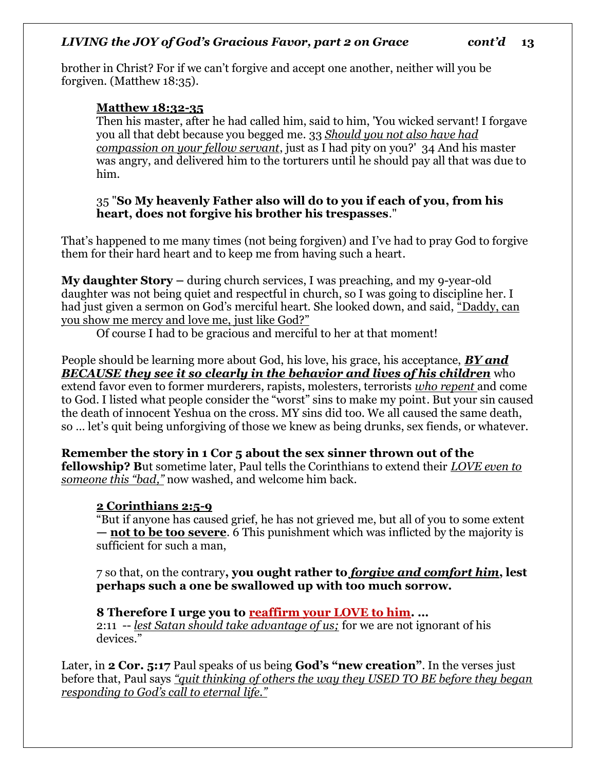brother in Christ? For if we can't forgive and accept one another, neither will you be forgiven. (Matthew 18:35).

# **Matthew 18:32-35**

Then his master, after he had called him, said to him, 'You wicked servant! I forgave you all that debt because you begged me. 33 *Should you not also have had compassion on your fellow servant*, just as I had pity on you?' 34 And his master was angry, and delivered him to the torturers until he should pay all that was due to him.

#### 35 "**So My heavenly Father also will do to you if each of you, from his heart, does not forgive his brother his trespasses**."

That's happened to me many times (not being forgiven) and I've had to pray God to forgive them for their hard heart and to keep me from having such a heart.

**My daughter Story –** during church services, I was preaching, and my 9-year-old daughter was not being quiet and respectful in church, so I was going to discipline her. I had just given a sermon on God's merciful heart. She looked down, and said, "Daddy, can you show me mercy and love me, just like God?"

Of course I had to be gracious and merciful to her at that moment!

People should be learning more about God, his love, his grace, his acceptance, *BY and BECAUSE they see it so clearly in the behavior and lives of his children* who extend favor even to former murderers, rapists, molesters, terrorists *who repent* and come to God. I listed what people consider the "worst" sins to make my point. But your sin caused the death of innocent Yeshua on the cross. MY sins did too. We all caused the same death, so … let's quit being unforgiving of those we knew as being drunks, sex fiends, or whatever.

**Remember the story in 1 Cor 5 about the sex sinner thrown out of the fellowship? B**ut sometime later, Paul tells the Corinthians to extend their *LOVE even to someone this "bad,"* now washed, and welcome him back.

# **2 Corinthians 2:5-9**

"But if anyone has caused grief, he has not grieved me, but all of you to some extent **— not to be too severe**. 6 This punishment which was inflicted by the majority is sufficient for such a man,

7 so that, on the contrary**, you ought rather to** *forgive and comfort him***, lest perhaps such a one be swallowed up with too much sorrow.**

# **8 Therefore I urge you to reaffirm your LOVE to him. …**

2:11 -- *lest Satan should take advantage of us;* for we are not ignorant of his devices."

Later, in **2 Cor. 5:17** Paul speaks of us being **God's "new creation"**. In the verses just before that, Paul says *"quit thinking of others the way they USED TO BE before they began responding to God's call to eternal life."*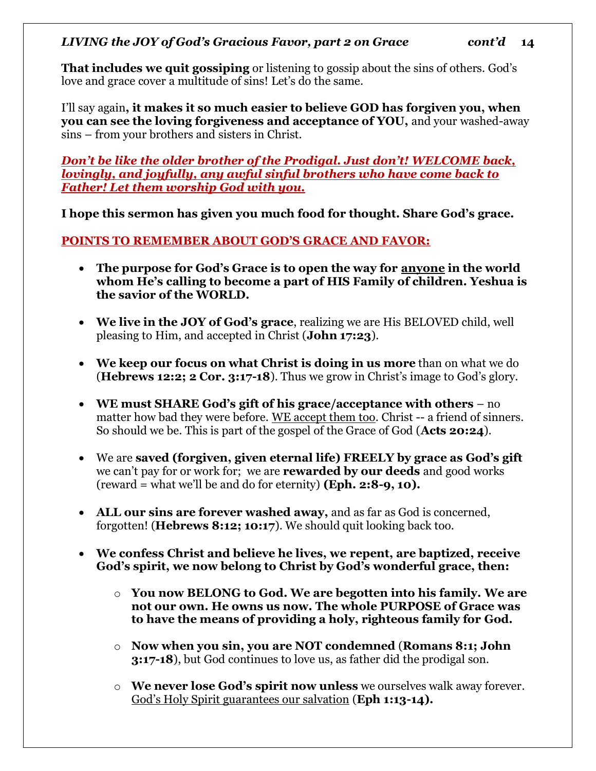**That includes we quit gossiping** or listening to gossip about the sins of others. God's love and grace cover a multitude of sins! Let's do the same.

I'll say again**, it makes it so much easier to believe GOD has forgiven you, when you can see the loving forgiveness and acceptance of YOU,** and your washed-away sins – from your brothers and sisters in Christ.

#### *Don't be like the older brother of the Prodigal. Just don't! WELCOME back, lovingly, and joyfully, any awful sinful brothers who have come back to Father! Let them worship God with you.*

**I hope this sermon has given you much food for thought. Share God's grace.** 

# **POINTS TO REMEMBER ABOUT GOD'S GRACE AND FAVOR:**

- **The purpose for God's Grace is to open the way for anyone in the world whom He's calling to become a part of HIS Family of children. Yeshua is the savior of the WORLD.**
- **We live in the JOY of God's grace**, realizing we are His BELOVED child, well pleasing to Him, and accepted in Christ (**John 17:23**).
- **We keep our focus on what Christ is doing in us more** than on what we do (**Hebrews 12:2; 2 Cor. 3:17-18**). Thus we grow in Christ's image to God's glory.
- **WE must SHARE God's gift of his grace/acceptance with others**  no matter how bad they were before. WE accept them too. Christ -- a friend of sinners. So should we be. This is part of the gospel of the Grace of God (**Acts 20:24**).
- We are **saved (forgiven, given eternal life) FREELY by grace as God's gift** we can't pay for or work for; we are **rewarded by our deeds** and good works (reward = what we'll be and do for eternity) **(Eph. 2:8-9, 10).**
- **ALL our sins are forever washed away,** and as far as God is concerned, forgotten! (**Hebrews 8:12; 10:17**). We should quit looking back too.
- **We confess Christ and believe he lives, we repent, are baptized, receive God's spirit, we now belong to Christ by God's wonderful grace, then:** 
	- o **You now BELONG to God. We are begotten into his family. We are not our own. He owns us now. The whole PURPOSE of Grace was to have the means of providing a holy, righteous family for God.**
	- o **Now when you sin, you are NOT condemned** (**Romans 8:1; John 3:17-18**), but God continues to love us, as father did the prodigal son.
	- o **We never lose God's spirit now unless** we ourselves walk away forever. God's Holy Spirit guarantees our salvation (**Eph 1:13-14).**